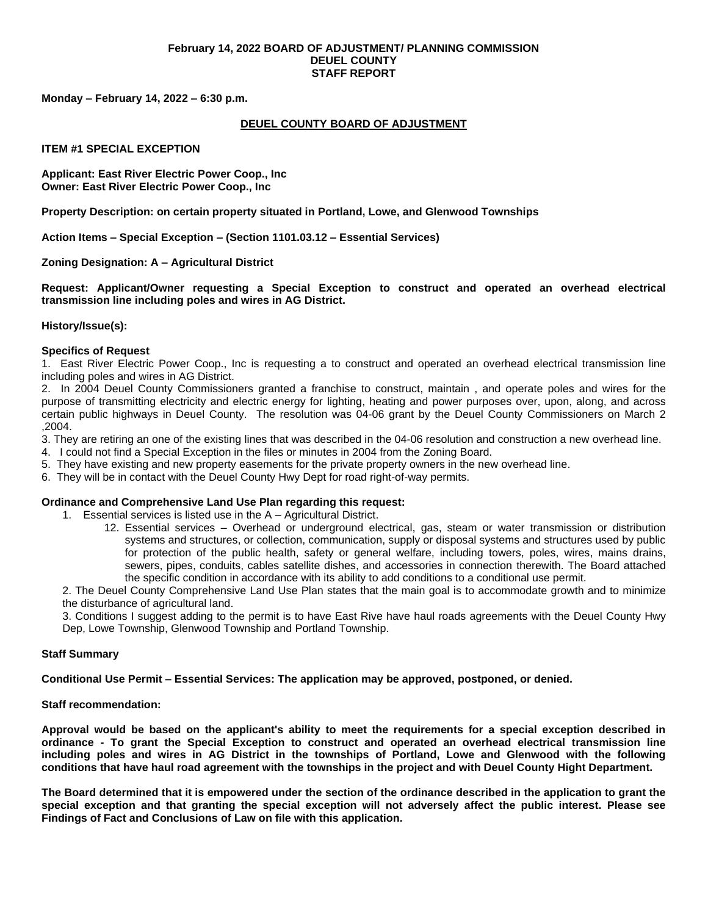#### **February 14, 2022 BOARD OF ADJUSTMENT/ PLANNING COMMISSION DEUEL COUNTY STAFF REPORT**

**Monday – February 14, 2022 – 6:30 p.m.**

## **DEUEL COUNTY BOARD OF ADJUSTMENT**

### **ITEM #1 SPECIAL EXCEPTION**

**Applicant: East River Electric Power Coop., Inc Owner: East River Electric Power Coop., Inc**

**Property Description: on certain property situated in Portland, Lowe, and Glenwood Townships**

**Action Items – Special Exception – (Section 1101.03.12 – Essential Services)**

## **Zoning Designation: A – Agricultural District**

**Request: Applicant/Owner requesting a Special Exception to construct and operated an overhead electrical transmission line including poles and wires in AG District.** 

#### **History/Issue(s):**

## **Specifics of Request**

1. East River Electric Power Coop., Inc is requesting a to construct and operated an overhead electrical transmission line including poles and wires in AG District.

2. In 2004 Deuel County Commissioners granted a franchise to construct, maintain , and operate poles and wires for the purpose of transmitting electricity and electric energy for lighting, heating and power purposes over, upon, along, and across certain public highways in Deuel County. The resolution was 04-06 grant by the Deuel County Commissioners on March 2 ,2004.

3. They are retiring an one of the existing lines that was described in the 04-06 resolution and construction a new overhead line.

- 4. I could not find a Special Exception in the files or minutes in 2004 from the Zoning Board.
- 5. They have existing and new property easements for the private property owners in the new overhead line.
- 6. They will be in contact with the Deuel County Hwy Dept for road right-of-way permits.

#### **Ordinance and Comprehensive Land Use Plan regarding this request:**

1. Essential services is listed use in the A – Agricultural District.

12. Essential services – Overhead or underground electrical, gas, steam or water transmission or distribution systems and structures, or collection, communication, supply or disposal systems and structures used by public for protection of the public health, safety or general welfare, including towers, poles, wires, mains drains, sewers, pipes, conduits, cables satellite dishes, and accessories in connection therewith. The Board attached the specific condition in accordance with its ability to add conditions to a conditional use permit.

2. The Deuel County Comprehensive Land Use Plan states that the main goal is to accommodate growth and to minimize the disturbance of agricultural land.

3. Conditions I suggest adding to the permit is to have East Rive have haul roads agreements with the Deuel County Hwy Dep, Lowe Township, Glenwood Township and Portland Township.

#### **Staff Summary**

**Conditional Use Permit – Essential Services: The application may be approved, postponed, or denied.** 

#### **Staff recommendation:**

**Approval would be based on the applicant's ability to meet the requirements for a special exception described in ordinance - To grant the Special Exception to construct and operated an overhead electrical transmission line including poles and wires in AG District in the townships of Portland, Lowe and Glenwood with the following conditions that have haul road agreement with the townships in the project and with Deuel County Hight Department.**

**The Board determined that it is empowered under the section of the ordinance described in the application to grant the special exception and that granting the special exception will not adversely affect the public interest. Please see Findings of Fact and Conclusions of Law on file with this application.**